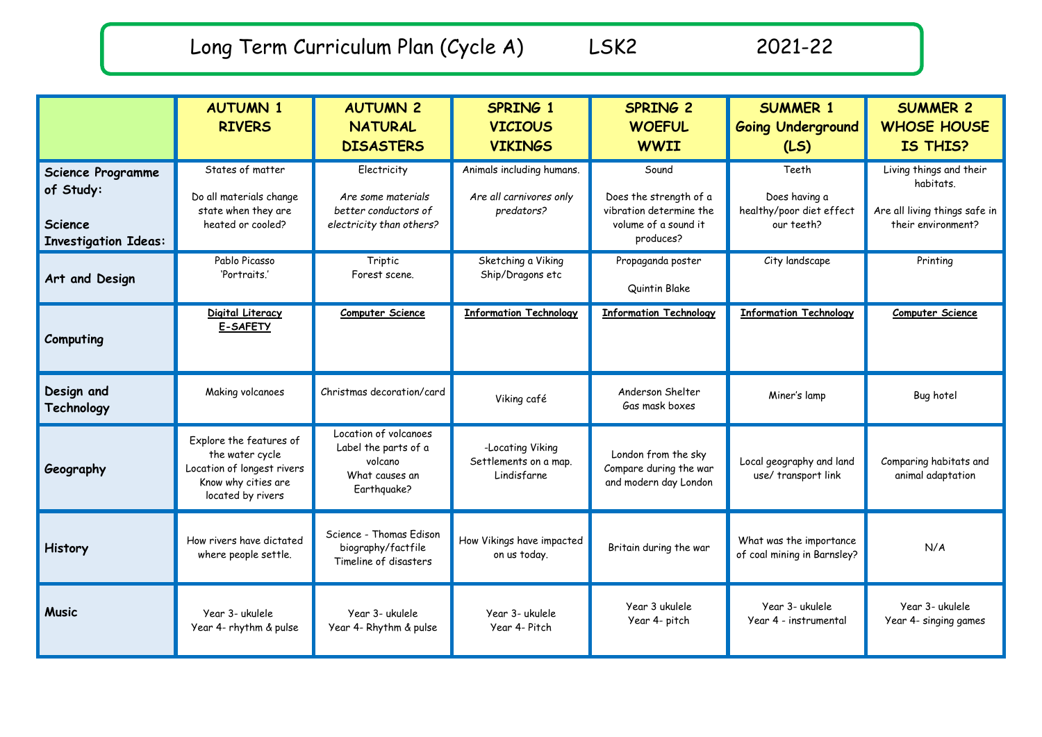Long Term Curriculum Plan (Cycle A) LSK2 2021-22

|                                                                                        | <b>AUTUMN 1</b><br><b>RIVERS</b>                                                                                     | <b>AUTUMN 2</b><br><b>NATURAL</b><br><b>DISASTERS</b>                                     | SPRING 1<br><b>VICIOUS</b><br><b>VIKINGS</b>                       | <b>SPRING 2</b><br><b>WOEFUL</b><br><b>WWII</b>                                                 | <b>SUMMER 1</b><br><b>Going Underground</b><br>(LS)              | <b>SUMMER 2</b><br><b>WHOSE HOUSE</b><br>IS THIS?                                           |
|----------------------------------------------------------------------------------------|----------------------------------------------------------------------------------------------------------------------|-------------------------------------------------------------------------------------------|--------------------------------------------------------------------|-------------------------------------------------------------------------------------------------|------------------------------------------------------------------|---------------------------------------------------------------------------------------------|
| <b>Science Programme</b><br>of Study:<br><b>Science</b><br><b>Investigation Ideas:</b> | States of matter<br>Do all materials change<br>state when they are<br>heated or cooled?                              | Electricity<br>Are some materials<br>better conductors of<br>electricity than others?     | Animals including humans.<br>Are all carnivores only<br>predators? | Sound<br>Does the strength of a<br>vibration determine the<br>volume of a sound it<br>produces? | Teeth<br>Does having a<br>healthy/poor diet effect<br>our teeth? | Living things and their<br>habitats.<br>Are all living things safe in<br>their environment? |
| Art and Design                                                                         | Pablo Picasso<br>'Portraits.'                                                                                        | Triptic<br>Forest scene.                                                                  | Sketching a Viking<br>Ship/Dragons etc                             | Propaganda poster<br>Quintin Blake                                                              | City landscape                                                   | Printing                                                                                    |
| Computing                                                                              | Digital Literacy<br><b>E-SAFETY</b>                                                                                  | <b>Computer Science</b>                                                                   | <b>Information Technology</b>                                      | <b>Information Technology</b>                                                                   | <b>Information Technology</b>                                    | Computer Science                                                                            |
| Design and<br>Technology                                                               | Making volcanoes                                                                                                     | Christmas decoration/card                                                                 | Viking café                                                        | Anderson Shelter<br>Gas mask boxes                                                              | Miner's lamp                                                     | Bug hotel                                                                                   |
| Geography                                                                              | Explore the features of<br>the water cycle<br>Location of longest rivers<br>Know why cities are<br>located by rivers | Location of volcanoes<br>Label the parts of a<br>volcano<br>What causes an<br>Earthquake? | -Locating Viking<br>Settlements on a map.<br>Lindisfarne           | London from the sky<br>Compare during the war<br>and modern day London                          | Local geography and land<br>use/ transport link                  | Comparing habitats and<br>animal adaptation                                                 |
| History                                                                                | How rivers have dictated<br>where people settle.                                                                     | Science - Thomas Edison<br>biography/factfile<br>Timeline of disasters                    | How Vikings have impacted<br>on us today.                          | Britain during the war                                                                          | What was the importance<br>of coal mining in Barnsley?           | N/A                                                                                         |
| <b>Music</b>                                                                           | Year 3- ukulele<br>Year 4- rhythm & pulse                                                                            | Year 3- ukulele<br>Year 4- Rhythm & pulse                                                 | Year 3- ukulele<br>Year 4- Pitch                                   | Year 3 ukulele<br>Year 4- pitch                                                                 | Year 3- ukulele<br>Year 4 - instrumental                         | Year 3- ukulele<br>Year 4- singing games                                                    |